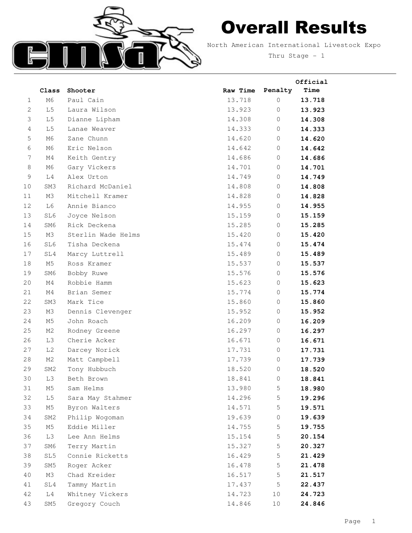

## Overall Results

North American International Livestock Expo Thru Stage - 1

|                |                 |                    |          |                | Official |
|----------------|-----------------|--------------------|----------|----------------|----------|
|                | Class           | Shooter            | Raw Time | Penalty        | Time     |
| 1              | M6              | Paul Cain          | 13.718   | $\mathbf 0$    | 13.718   |
| $\mathbf{2}$   | L <sub>5</sub>  | Laura Wilson       | 13.923   | $\mathbf 0$    | 13.923   |
| 3              | L <sub>5</sub>  | Dianne Lipham      | 14.308   | 0              | 14.308   |
| $\overline{4}$ | L <sub>5</sub>  | Lanae Weaver       | 14.333   | $\circ$        | 14.333   |
| 5              | M6              | Zane Chunn         | 14.620   | $\circ$        | 14.620   |
| 6              | M6              | Eric Nelson        | 14.642   | 0              | 14.642   |
| 7              | M4              | Keith Gentry       | 14.686   | $\circ$        | 14.686   |
| 8              | M6              | Gary Vickers       | 14.701   | 0              | 14.701   |
| 9              | L4              | Alex Urton         | 14.749   | 0              | 14.749   |
| 10             | SM3             | Richard McDaniel   | 14.808   | $\circ$        | 14.808   |
| 11             | M3              | Mitchell Kramer    | 14.828   | $\circ$        | 14.828   |
| 12             | L6              | Annie Bianco       | 14.955   | $\mathbf 0$    | 14.955   |
| 13             | SL6             | Joyce Nelson       | 15.159   | 0              | 15.159   |
| 14             | SM6             | Rick Deckena       | 15.285   | 0              | 15.285   |
| 15             | M3              | Sterlin Wade Helms | 15.420   | $\mathbf 0$    | 15.420   |
| 16             | SL6             | Tisha Deckena      | 15.474   | 0              | 15.474   |
| 17             | SL4             | Marcy Luttrell     | 15.489   | 0              | 15.489   |
| 18             | M5              | Ross Kramer        | 15.537   | $\mathbf 0$    | 15.537   |
| 19             | SM6             | Bobby Ruwe         | 15.576   | 0              | 15.576   |
| 20             | M4              | Robbie Hamm        | 15.623   | $\mathbf 0$    | 15.623   |
| 21             | M4              | Brian Semer        | 15.774   | $\mathbf 0$    | 15.774   |
| 22             | SM3             | Mark Tice          | 15.860   | 0              | 15.860   |
| 23             | M3              | Dennis Clevenger   | 15.952   | $\mathbf 0$    | 15.952   |
| 24             | M <sub>5</sub>  | John Roach         | 16.209   | $\overline{0}$ | 16.209   |
| 25             | M2              | Rodney Greene      | 16.297   | $\mathbf 0$    | 16.297   |
| 26             | L <sub>3</sub>  | Cherie Acker       | 16.671   | $\circ$        | 16.671   |
| 27             | L <sub>2</sub>  | Darcey Norick      | 17.731   | 0              | 17.731   |
| 28             | M2              | Matt Campbell      | 17.739   | $\mathbb O$    | 17.739   |
| 29             | SM <sub>2</sub> | Tony Hubbuch       | 18.520   | 0              | 18.520   |
| 30             | L3              | Beth Brown         | 18.841   | $\cup$         | 18.841   |
| 31             | M5              | Sam Helms          | 13.980   | 5              | 18.980   |
| 32             | L <sub>5</sub>  | Sara May Stahmer   | 14.296   | 5              | 19.296   |
| 33             | M5              | Byron Walters      | 14.571   | 5              | 19.571   |
| 34             | SM2             | Philip Wogoman     | 19.639   | $\circ$        | 19.639   |
| 35             | M5              | Eddie Miller       | 14.755   | 5              | 19.755   |
| 36             | L3              | Lee Ann Helms      | 15.154   | 5              | 20.154   |
| 37             | SM6             | Terry Martin       | 15.327   | 5              | 20.327   |
| 38             | SL5             | Connie Ricketts    | 16.429   | 5              | 21.429   |
| 39             | SM5             | Roger Acker        | 16.478   | 5              | 21.478   |
| 40             | M3              | Chad Kreider       | 16.517   | 5              | 21.517   |
| 41             | SL4             | Tammy Martin       | 17.437   | 5              | 22.437   |
| 42             | L4              | Whitney Vickers    | 14.723   | 10             | 24.723   |
| 43             | SM5             | Gregory Couch      | 14.846   | $10$           | 24.846   |